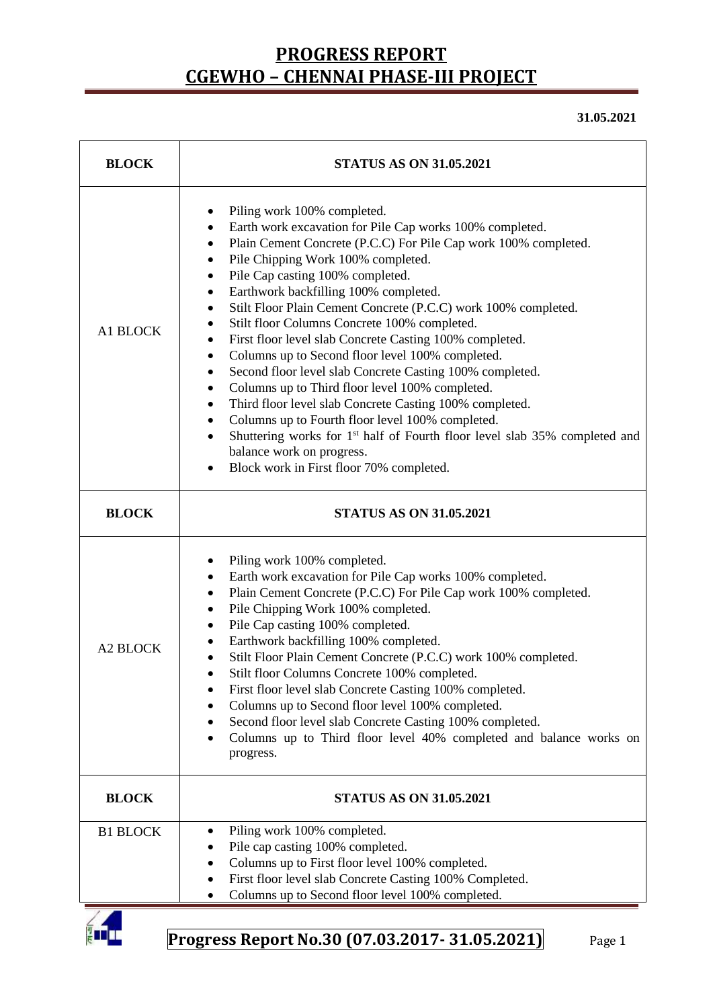**31.05.2021**

| <b>BLOCK</b>    | <b>STATUS AS ON 31.05.2021</b>                                                                                                                                                                                                                                                                                                                                                                                                                                                                                                                                                                                                                                                                                                                                                                                                                                                                                                                                                                      |  |  |  |  |
|-----------------|-----------------------------------------------------------------------------------------------------------------------------------------------------------------------------------------------------------------------------------------------------------------------------------------------------------------------------------------------------------------------------------------------------------------------------------------------------------------------------------------------------------------------------------------------------------------------------------------------------------------------------------------------------------------------------------------------------------------------------------------------------------------------------------------------------------------------------------------------------------------------------------------------------------------------------------------------------------------------------------------------------|--|--|--|--|
| A1 BLOCK        | Piling work 100% completed.<br>٠<br>Earth work excavation for Pile Cap works 100% completed.<br>٠<br>Plain Cement Concrete (P.C.C) For Pile Cap work 100% completed.<br>٠<br>Pile Chipping Work 100% completed.<br>٠<br>Pile Cap casting 100% completed.<br>٠<br>Earthwork backfilling 100% completed.<br>٠<br>Stilt Floor Plain Cement Concrete (P.C.C) work 100% completed.<br>Stilt floor Columns Concrete 100% completed.<br>First floor level slab Concrete Casting 100% completed.<br>Columns up to Second floor level 100% completed.<br>٠<br>Second floor level slab Concrete Casting 100% completed.<br>٠<br>Columns up to Third floor level 100% completed.<br>٠<br>Third floor level slab Concrete Casting 100% completed.<br>$\bullet$<br>Columns up to Fourth floor level 100% completed.<br>$\bullet$<br>Shuttering works for 1 <sup>st</sup> half of Fourth floor level slab 35% completed and<br>$\bullet$<br>balance work on progress.<br>Block work in First floor 70% completed. |  |  |  |  |
| <b>BLOCK</b>    | <b>STATUS AS ON 31.05.2021</b>                                                                                                                                                                                                                                                                                                                                                                                                                                                                                                                                                                                                                                                                                                                                                                                                                                                                                                                                                                      |  |  |  |  |
| <b>A2 BLOCK</b> | Piling work 100% completed.<br>٠<br>Earth work excavation for Pile Cap works 100% completed.<br>٠<br>Plain Cement Concrete (P.C.C) For Pile Cap work 100% completed.<br>٠<br>Pile Chipping Work 100% completed.<br>٠<br>Pile Cap casting 100% completed.<br>Earthwork backfilling 100% completed.<br>Stilt Floor Plain Cement Concrete (P.C.C) work 100% completed.<br>$\bullet$<br>Stilt floor Columns Concrete 100% completed.<br>$\bullet$<br>First floor level slab Concrete Casting 100% completed.<br>Columns up to Second floor level 100% completed.<br>$\bullet$<br>Second floor level slab Concrete Casting 100% completed.<br>٠<br>Columns up to Third floor level 40% completed and balance works on<br>$\bullet$<br>progress.                                                                                                                                                                                                                                                          |  |  |  |  |
| <b>BLOCK</b>    | <b>STATUS AS ON 31.05.2021</b>                                                                                                                                                                                                                                                                                                                                                                                                                                                                                                                                                                                                                                                                                                                                                                                                                                                                                                                                                                      |  |  |  |  |
| <b>B1 BLOCK</b> | Piling work 100% completed.<br>٠<br>Pile cap casting 100% completed.<br>Columns up to First floor level 100% completed.<br>First floor level slab Concrete Casting 100% Completed.<br>٠<br>Columns up to Second floor level 100% completed.                                                                                                                                                                                                                                                                                                                                                                                                                                                                                                                                                                                                                                                                                                                                                         |  |  |  |  |

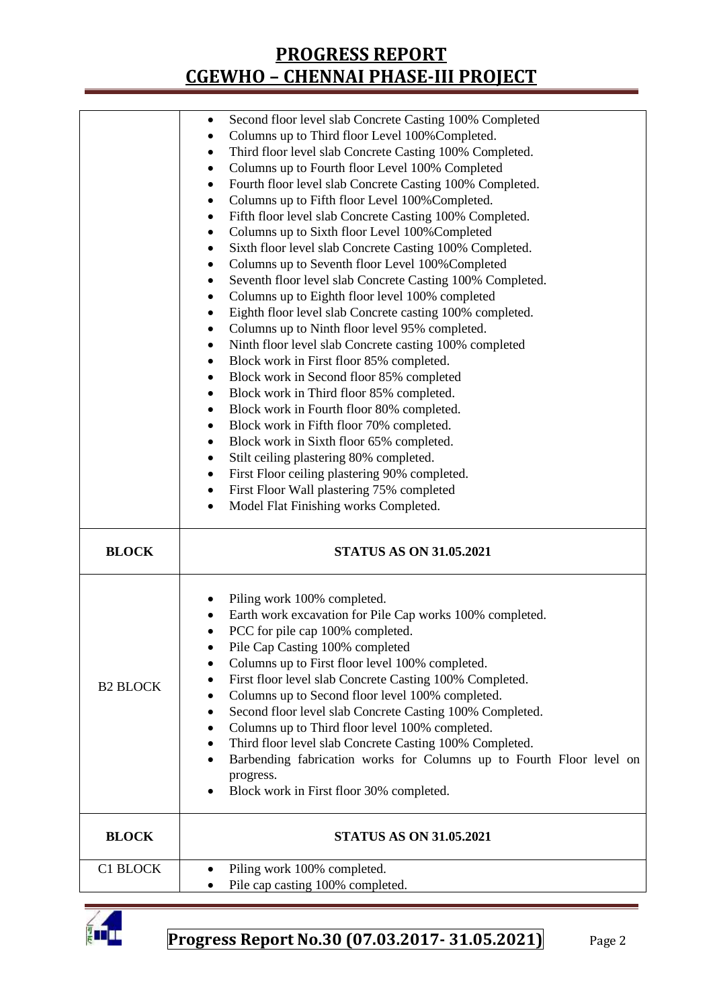|                 | Second floor level slab Concrete Casting 100% Completed<br>٠         |  |  |  |  |
|-----------------|----------------------------------------------------------------------|--|--|--|--|
|                 | Columns up to Third floor Level 100% Completed.<br>٠                 |  |  |  |  |
|                 | Third floor level slab Concrete Casting 100% Completed.<br>٠         |  |  |  |  |
|                 | Columns up to Fourth floor Level 100% Completed<br>٠                 |  |  |  |  |
|                 | Fourth floor level slab Concrete Casting 100% Completed.<br>٠        |  |  |  |  |
|                 |                                                                      |  |  |  |  |
|                 | Columns up to Fifth floor Level 100% Completed.<br>٠                 |  |  |  |  |
|                 | Fifth floor level slab Concrete Casting 100% Completed.<br>٠         |  |  |  |  |
|                 | Columns up to Sixth floor Level 100% Completed<br>٠                  |  |  |  |  |
|                 | Sixth floor level slab Concrete Casting 100% Completed.<br>٠         |  |  |  |  |
|                 | Columns up to Seventh floor Level 100% Completed<br>٠                |  |  |  |  |
|                 | Seventh floor level slab Concrete Casting 100% Completed.<br>٠       |  |  |  |  |
|                 | Columns up to Eighth floor level 100% completed<br>٠                 |  |  |  |  |
|                 | Eighth floor level slab Concrete casting 100% completed.<br>٠        |  |  |  |  |
|                 | Columns up to Ninth floor level 95% completed.<br>٠                  |  |  |  |  |
|                 | Ninth floor level slab Concrete casting 100% completed<br>٠          |  |  |  |  |
|                 | Block work in First floor 85% completed.<br>٠                        |  |  |  |  |
|                 | Block work in Second floor 85% completed<br>٠                        |  |  |  |  |
|                 | Block work in Third floor 85% completed.<br>٠                        |  |  |  |  |
|                 | Block work in Fourth floor 80% completed.<br>٠                       |  |  |  |  |
|                 | Block work in Fifth floor 70% completed.<br>٠                        |  |  |  |  |
|                 |                                                                      |  |  |  |  |
|                 | Block work in Sixth floor 65% completed.<br>٠                        |  |  |  |  |
|                 | Stilt ceiling plastering 80% completed.<br>٠                         |  |  |  |  |
|                 | First Floor ceiling plastering 90% completed.<br>٠                   |  |  |  |  |
|                 | First Floor Wall plastering 75% completed<br>٠                       |  |  |  |  |
|                 | Model Flat Finishing works Completed.<br>$\bullet$                   |  |  |  |  |
|                 |                                                                      |  |  |  |  |
| <b>BLOCK</b>    | <b>STATUS AS ON 31.05.2021</b>                                       |  |  |  |  |
|                 |                                                                      |  |  |  |  |
|                 | Piling work 100% completed.                                          |  |  |  |  |
|                 | Earth work excavation for Pile Cap works 100% completed.             |  |  |  |  |
|                 | PCC for pile cap 100% completed.                                     |  |  |  |  |
|                 | Pile Cap Casting 100% completed                                      |  |  |  |  |
|                 | Columns up to First floor level 100% completed.                      |  |  |  |  |
|                 | First floor level slab Concrete Casting 100% Completed.<br>٠         |  |  |  |  |
| <b>B2 BLOCK</b> | Columns up to Second floor level 100% completed.                     |  |  |  |  |
|                 | Second floor level slab Concrete Casting 100% Completed.<br>٠        |  |  |  |  |
|                 | Columns up to Third floor level 100% completed.<br>٠                 |  |  |  |  |
|                 | ٠                                                                    |  |  |  |  |
|                 | Third floor level slab Concrete Casting 100% Completed.              |  |  |  |  |
|                 | Barbending fabrication works for Columns up to Fourth Floor level on |  |  |  |  |
|                 | progress.<br>Block work in First floor 30% completed.                |  |  |  |  |
| <b>BLOCK</b>    | <b>STATUS AS ON 31.05.2021</b>                                       |  |  |  |  |
|                 |                                                                      |  |  |  |  |
| C1 BLOCK        | Piling work 100% completed.<br>Pile cap casting 100% completed.      |  |  |  |  |

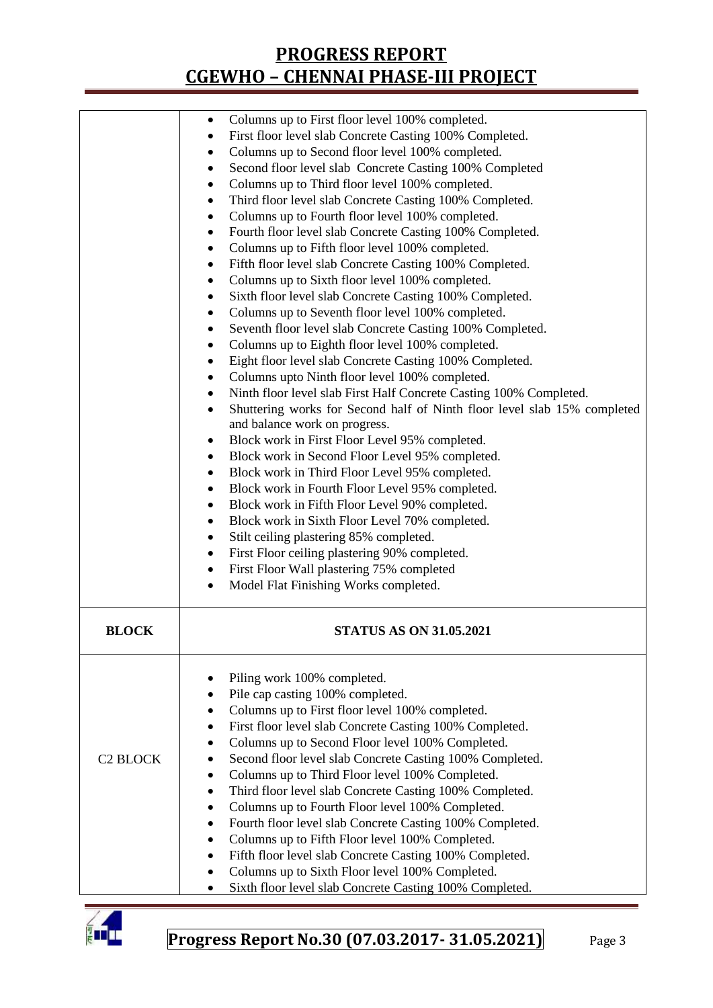|                 | Columns up to First floor level 100% completed.<br>$\bullet$<br>First floor level slab Concrete Casting 100% Completed.<br>$\bullet$<br>Columns up to Second floor level 100% completed.<br>٠<br>Second floor level slab Concrete Casting 100% Completed<br>٠<br>Columns up to Third floor level 100% completed.<br>$\bullet$<br>Third floor level slab Concrete Casting 100% Completed.<br>$\bullet$<br>Columns up to Fourth floor level 100% completed.<br>$\bullet$<br>Fourth floor level slab Concrete Casting 100% Completed.<br>$\bullet$<br>Columns up to Fifth floor level 100% completed.<br>٠<br>Fifth floor level slab Concrete Casting 100% Completed.<br>$\bullet$<br>Columns up to Sixth floor level 100% completed.<br>$\bullet$<br>Sixth floor level slab Concrete Casting 100% Completed.<br>٠<br>Columns up to Seventh floor level 100% completed.<br>٠<br>Seventh floor level slab Concrete Casting 100% Completed.<br>٠<br>Columns up to Eighth floor level 100% completed.<br>٠<br>Eight floor level slab Concrete Casting 100% Completed.<br>٠<br>Columns upto Ninth floor level 100% completed.<br>٠<br>Ninth floor level slab First Half Concrete Casting 100% Completed.<br>$\bullet$<br>Shuttering works for Second half of Ninth floor level slab 15% completed<br>٠<br>and balance work on progress.<br>Block work in First Floor Level 95% completed.<br>٠<br>Block work in Second Floor Level 95% completed.<br>٠<br>Block work in Third Floor Level 95% completed.<br>$\bullet$<br>Block work in Fourth Floor Level 95% completed.<br>$\bullet$<br>Block work in Fifth Floor Level 90% completed.<br>٠<br>Block work in Sixth Floor Level 70% completed.<br>$\bullet$<br>Stilt ceiling plastering 85% completed.<br>٠<br>First Floor ceiling plastering 90% completed.<br>$\bullet$<br>First Floor Wall plastering 75% completed<br>$\bullet$<br>Model Flat Finishing Works completed.<br>٠ |
|-----------------|----------------------------------------------------------------------------------------------------------------------------------------------------------------------------------------------------------------------------------------------------------------------------------------------------------------------------------------------------------------------------------------------------------------------------------------------------------------------------------------------------------------------------------------------------------------------------------------------------------------------------------------------------------------------------------------------------------------------------------------------------------------------------------------------------------------------------------------------------------------------------------------------------------------------------------------------------------------------------------------------------------------------------------------------------------------------------------------------------------------------------------------------------------------------------------------------------------------------------------------------------------------------------------------------------------------------------------------------------------------------------------------------------------------------------------------------------------------------------------------------------------------------------------------------------------------------------------------------------------------------------------------------------------------------------------------------------------------------------------------------------------------------------------------------------------------------------------------------------------------------------------------------------------------------------|
| <b>BLOCK</b>    | <b>STATUS AS ON 31.05.2021</b>                                                                                                                                                                                                                                                                                                                                                                                                                                                                                                                                                                                                                                                                                                                                                                                                                                                                                                                                                                                                                                                                                                                                                                                                                                                                                                                                                                                                                                                                                                                                                                                                                                                                                                                                                                                                                                                                                             |
| <b>C2 BLOCK</b> | Piling work 100% completed.<br>Pile cap casting 100% completed.<br>٠<br>Columns up to First floor level 100% completed.<br>٠<br>First floor level slab Concrete Casting 100% Completed.<br>٠<br>Columns up to Second Floor level 100% Completed.<br>$\bullet$<br>Second floor level slab Concrete Casting 100% Completed.<br>Columns up to Third Floor level 100% Completed.<br>٠<br>Third floor level slab Concrete Casting 100% Completed.<br>$\bullet$<br>Columns up to Fourth Floor level 100% Completed.<br>$\bullet$<br>Fourth floor level slab Concrete Casting 100% Completed.<br>٠<br>Columns up to Fifth Floor level 100% Completed.<br>$\bullet$<br>Fifth floor level slab Concrete Casting 100% Completed.<br>$\bullet$<br>Columns up to Sixth Floor level 100% Completed.<br>٠<br>Sixth floor level slab Concrete Casting 100% Completed.                                                                                                                                                                                                                                                                                                                                                                                                                                                                                                                                                                                                                                                                                                                                                                                                                                                                                                                                                                                                                                                                     |

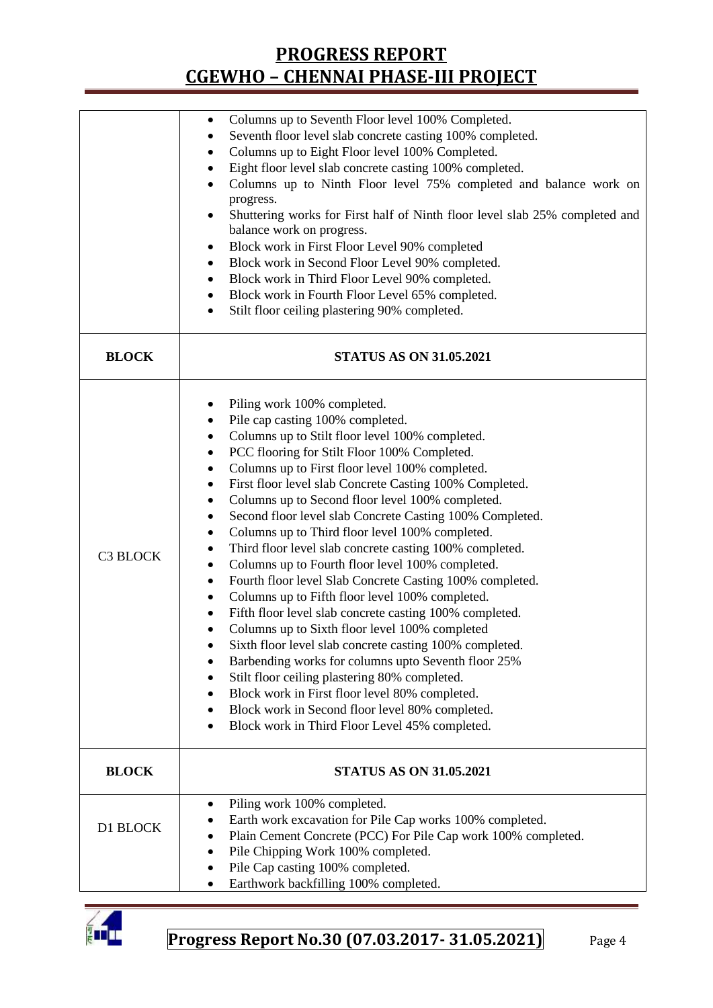|              | Columns up to Seventh Floor level 100% Completed.<br>$\bullet$              |  |  |  |  |  |
|--------------|-----------------------------------------------------------------------------|--|--|--|--|--|
|              | Seventh floor level slab concrete casting 100% completed.                   |  |  |  |  |  |
|              | Columns up to Eight Floor level 100% Completed.<br>٠                        |  |  |  |  |  |
|              | Eight floor level slab concrete casting 100% completed.<br>٠                |  |  |  |  |  |
|              | Columns up to Ninth Floor level 75% completed and balance work on           |  |  |  |  |  |
|              | progress.                                                                   |  |  |  |  |  |
|              | Shuttering works for First half of Ninth floor level slab 25% completed and |  |  |  |  |  |
|              | balance work on progress.                                                   |  |  |  |  |  |
|              | Block work in First Floor Level 90% completed<br>٠                          |  |  |  |  |  |
|              | Block work in Second Floor Level 90% completed.<br>٠                        |  |  |  |  |  |
|              | Block work in Third Floor Level 90% completed.<br>٠                         |  |  |  |  |  |
|              | Block work in Fourth Floor Level 65% completed.<br>٠                        |  |  |  |  |  |
|              | Stilt floor ceiling plastering 90% completed.<br>٠                          |  |  |  |  |  |
|              |                                                                             |  |  |  |  |  |
| <b>BLOCK</b> | <b>STATUS AS ON 31.05.2021</b>                                              |  |  |  |  |  |
|              |                                                                             |  |  |  |  |  |
|              | Piling work 100% completed.                                                 |  |  |  |  |  |
|              | Pile cap casting 100% completed.<br>٠                                       |  |  |  |  |  |
|              | Columns up to Stilt floor level 100% completed.<br>$\bullet$                |  |  |  |  |  |
|              | PCC flooring for Stilt Floor 100% Completed.<br>$\bullet$                   |  |  |  |  |  |
|              | Columns up to First floor level 100% completed.<br>٠                        |  |  |  |  |  |
|              | First floor level slab Concrete Casting 100% Completed.<br>٠                |  |  |  |  |  |
|              | Columns up to Second floor level 100% completed.<br>٠                       |  |  |  |  |  |
|              | Second floor level slab Concrete Casting 100% Completed.<br>$\bullet$       |  |  |  |  |  |
|              | Columns up to Third floor level 100% completed.<br>$\bullet$                |  |  |  |  |  |
|              | Third floor level slab concrete casting 100% completed.<br>٠                |  |  |  |  |  |
| C3 BLOCK     | Columns up to Fourth floor level 100% completed.<br>٠                       |  |  |  |  |  |
|              | Fourth floor level Slab Concrete Casting 100% completed.<br>$\bullet$       |  |  |  |  |  |
|              | Columns up to Fifth floor level 100% completed.<br>٠                        |  |  |  |  |  |
|              | Fifth floor level slab concrete casting 100% completed.<br>٠                |  |  |  |  |  |
|              | Columns up to Sixth floor level 100% completed                              |  |  |  |  |  |
|              | Sixth floor level slab concrete casting 100% completed.                     |  |  |  |  |  |
|              |                                                                             |  |  |  |  |  |
|              | Barbending works for columns upto Seventh floor 25%                         |  |  |  |  |  |
|              | Stilt floor ceiling plastering 80% completed.<br>٠                          |  |  |  |  |  |
|              | Block work in First floor level 80% completed.<br>٠                         |  |  |  |  |  |
|              | Block work in Second floor level 80% completed.<br>٠                        |  |  |  |  |  |
|              | Block work in Third Floor Level 45% completed.                              |  |  |  |  |  |
| <b>BLOCK</b> | <b>STATUS AS ON 31.05.2021</b>                                              |  |  |  |  |  |
|              |                                                                             |  |  |  |  |  |
|              | Piling work 100% completed.<br>$\bullet$                                    |  |  |  |  |  |
| D1 BLOCK     | Earth work excavation for Pile Cap works 100% completed.                    |  |  |  |  |  |
|              | Plain Cement Concrete (PCC) For Pile Cap work 100% completed.<br>٠          |  |  |  |  |  |
|              | Pile Chipping Work 100% completed.<br>$\bullet$                             |  |  |  |  |  |
|              | Pile Cap casting 100% completed.                                            |  |  |  |  |  |
|              | Earthwork backfilling 100% completed.                                       |  |  |  |  |  |

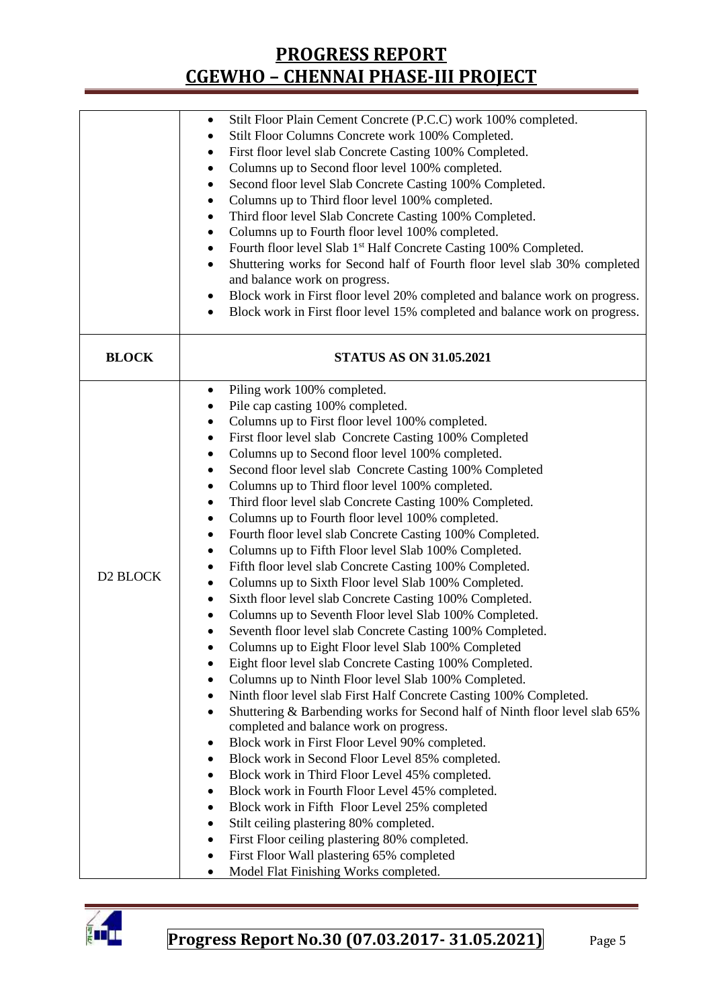|                      | Stilt Floor Plain Cement Concrete (P.C.C) work 100% completed.                                                               |  |  |  |  |  |
|----------------------|------------------------------------------------------------------------------------------------------------------------------|--|--|--|--|--|
|                      | Stilt Floor Columns Concrete work 100% Completed.<br>٠                                                                       |  |  |  |  |  |
|                      | First floor level slab Concrete Casting 100% Completed.<br>٠                                                                 |  |  |  |  |  |
|                      | Columns up to Second floor level 100% completed.<br>٠                                                                        |  |  |  |  |  |
|                      | Second floor level Slab Concrete Casting 100% Completed.                                                                     |  |  |  |  |  |
|                      | Columns up to Third floor level 100% completed.<br>٠                                                                         |  |  |  |  |  |
|                      | Third floor level Slab Concrete Casting 100% Completed.                                                                      |  |  |  |  |  |
|                      | Columns up to Fourth floor level 100% completed.<br>٠                                                                        |  |  |  |  |  |
|                      | Fourth floor level Slab 1 <sup>st</sup> Half Concrete Casting 100% Completed.                                                |  |  |  |  |  |
|                      | Shuttering works for Second half of Fourth floor level slab 30% completed<br>٠                                               |  |  |  |  |  |
|                      | and balance work on progress.                                                                                                |  |  |  |  |  |
|                      | Block work in First floor level 20% completed and balance work on progress.<br>٠                                             |  |  |  |  |  |
|                      | Block work in First floor level 15% completed and balance work on progress.<br>$\bullet$                                     |  |  |  |  |  |
|                      |                                                                                                                              |  |  |  |  |  |
| <b>BLOCK</b>         | <b>STATUS AS ON 31.05.2021</b>                                                                                               |  |  |  |  |  |
|                      | Piling work 100% completed.<br>$\bullet$                                                                                     |  |  |  |  |  |
|                      | Pile cap casting 100% completed.<br>$\bullet$                                                                                |  |  |  |  |  |
|                      | Columns up to First floor level 100% completed.<br>٠                                                                         |  |  |  |  |  |
|                      |                                                                                                                              |  |  |  |  |  |
|                      | First floor level slab Concrete Casting 100% Completed<br>$\bullet$<br>Columns up to Second floor level 100% completed.<br>٠ |  |  |  |  |  |
|                      |                                                                                                                              |  |  |  |  |  |
|                      | Second floor level slab Concrete Casting 100% Completed<br>$\bullet$                                                         |  |  |  |  |  |
|                      | Columns up to Third floor level 100% completed.                                                                              |  |  |  |  |  |
|                      | Third floor level slab Concrete Casting 100% Completed.<br>$\bullet$                                                         |  |  |  |  |  |
|                      | Columns up to Fourth floor level 100% completed.<br>Fourth floor level slab Concrete Casting 100% Completed.                 |  |  |  |  |  |
|                      | ٠                                                                                                                            |  |  |  |  |  |
|                      | Columns up to Fifth Floor level Slab 100% Completed.<br>٠                                                                    |  |  |  |  |  |
| D <sub>2</sub> BLOCK | Fifth floor level slab Concrete Casting 100% Completed.<br>٠                                                                 |  |  |  |  |  |
|                      | Columns up to Sixth Floor level Slab 100% Completed.<br>٠                                                                    |  |  |  |  |  |
|                      | Sixth floor level slab Concrete Casting 100% Completed.<br>٠                                                                 |  |  |  |  |  |
|                      | Columns up to Seventh Floor level Slab 100% Completed.                                                                       |  |  |  |  |  |
|                      | Seventh floor level slab Concrete Casting 100% Completed.<br>$\bullet$                                                       |  |  |  |  |  |
|                      | Columns up to Eight Floor level Slab 100% Completed                                                                          |  |  |  |  |  |
|                      | Eight floor level slab Concrete Casting 100% Completed.<br>$\bullet$                                                         |  |  |  |  |  |
|                      | Columns up to Ninth Floor level Slab 100% Completed.<br>٠                                                                    |  |  |  |  |  |
|                      | Ninth floor level slab First Half Concrete Casting 100% Completed.<br>٠                                                      |  |  |  |  |  |
|                      | Shuttering & Barbending works for Second half of Ninth floor level slab 65%                                                  |  |  |  |  |  |
|                      | completed and balance work on progress.                                                                                      |  |  |  |  |  |
|                      | Block work in First Floor Level 90% completed.<br>٠                                                                          |  |  |  |  |  |
|                      | Block work in Second Floor Level 85% completed.<br>٠                                                                         |  |  |  |  |  |
|                      | Block work in Third Floor Level 45% completed.<br>٠                                                                          |  |  |  |  |  |
|                      | Block work in Fourth Floor Level 45% completed.<br>٠                                                                         |  |  |  |  |  |
|                      | Block work in Fifth Floor Level 25% completed<br>٠                                                                           |  |  |  |  |  |
|                      | Stilt ceiling plastering 80% completed.                                                                                      |  |  |  |  |  |
|                      | First Floor ceiling plastering 80% completed.<br>٠                                                                           |  |  |  |  |  |
|                      | First Floor Wall plastering 65% completed                                                                                    |  |  |  |  |  |
|                      | Model Flat Finishing Works completed.<br>$\bullet$                                                                           |  |  |  |  |  |

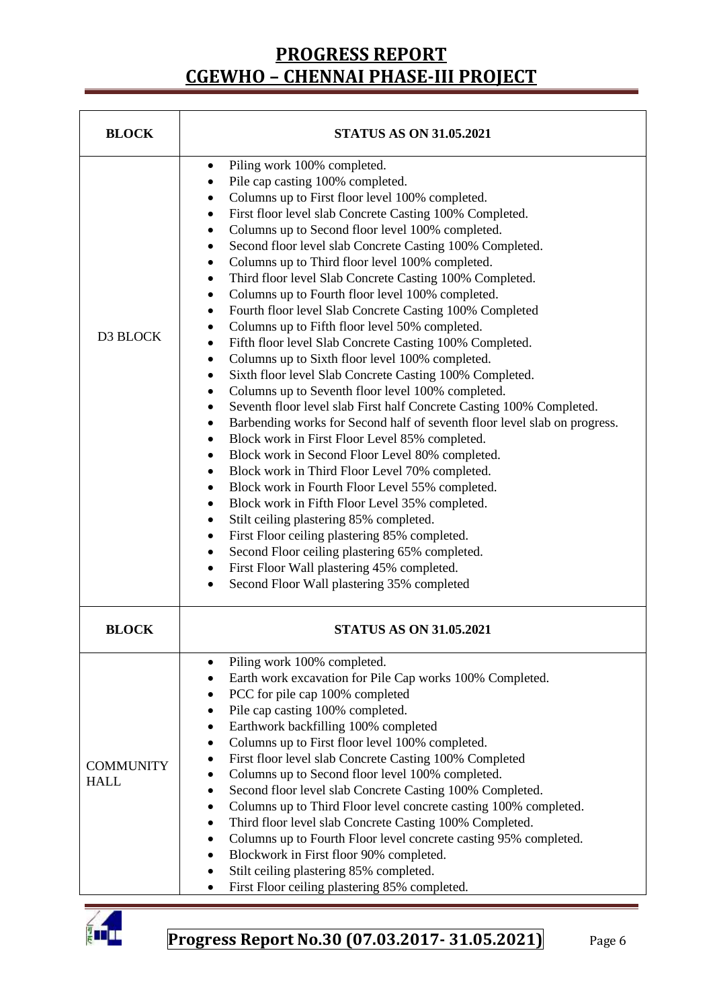| <b>BLOCK</b>                    | <b>STATUS AS ON 31.05.2021</b>                                                                                                                                                                                                                                                                                                                                                                                                                                                                                                                                                                                                                                                                                                                                                                                                                                                                                                                                                                                                                                                                                                                                                                                                                                                                                                                                                                                                                                                                                                                                                                                                                                       |  |  |  |  |
|---------------------------------|----------------------------------------------------------------------------------------------------------------------------------------------------------------------------------------------------------------------------------------------------------------------------------------------------------------------------------------------------------------------------------------------------------------------------------------------------------------------------------------------------------------------------------------------------------------------------------------------------------------------------------------------------------------------------------------------------------------------------------------------------------------------------------------------------------------------------------------------------------------------------------------------------------------------------------------------------------------------------------------------------------------------------------------------------------------------------------------------------------------------------------------------------------------------------------------------------------------------------------------------------------------------------------------------------------------------------------------------------------------------------------------------------------------------------------------------------------------------------------------------------------------------------------------------------------------------------------------------------------------------------------------------------------------------|--|--|--|--|
| D3 BLOCK                        | Piling work 100% completed.<br>٠<br>Pile cap casting 100% completed.<br>٠<br>Columns up to First floor level 100% completed.<br>٠<br>First floor level slab Concrete Casting 100% Completed.<br>٠<br>Columns up to Second floor level 100% completed.<br>$\bullet$<br>Second floor level slab Concrete Casting 100% Completed.<br>٠<br>Columns up to Third floor level 100% completed.<br>٠<br>Third floor level Slab Concrete Casting 100% Completed.<br>٠<br>Columns up to Fourth floor level 100% completed.<br>$\bullet$<br>Fourth floor level Slab Concrete Casting 100% Completed<br>٠<br>Columns up to Fifth floor level 50% completed.<br>٠<br>Fifth floor level Slab Concrete Casting 100% Completed.<br>$\bullet$<br>Columns up to Sixth floor level 100% completed.<br>$\bullet$<br>Sixth floor level Slab Concrete Casting 100% Completed.<br>٠<br>Columns up to Seventh floor level 100% completed.<br>٠<br>Seventh floor level slab First half Concrete Casting 100% Completed.<br>٠<br>Barbending works for Second half of seventh floor level slab on progress.<br>٠<br>Block work in First Floor Level 85% completed.<br>$\bullet$<br>Block work in Second Floor Level 80% completed.<br>٠<br>Block work in Third Floor Level 70% completed.<br>٠<br>Block work in Fourth Floor Level 55% completed.<br>٠<br>Block work in Fifth Floor Level 35% completed.<br>$\bullet$<br>Stilt ceiling plastering 85% completed.<br>٠<br>First Floor ceiling plastering 85% completed.<br>٠<br>Second Floor ceiling plastering 65% completed.<br>٠<br>First Floor Wall plastering 45% completed.<br>٠<br>Second Floor Wall plastering 35% completed<br>$\bullet$ |  |  |  |  |
| <b>BLOCK</b>                    | <b>STATUS AS ON 31.05.2021</b>                                                                                                                                                                                                                                                                                                                                                                                                                                                                                                                                                                                                                                                                                                                                                                                                                                                                                                                                                                                                                                                                                                                                                                                                                                                                                                                                                                                                                                                                                                                                                                                                                                       |  |  |  |  |
| <b>COMMUNITY</b><br><b>HALL</b> | Piling work 100% completed.<br>Earth work excavation for Pile Cap works 100% Completed.<br>PCC for pile cap 100% completed<br>$\bullet$<br>Pile cap casting 100% completed.<br>٠<br>Earthwork backfilling 100% completed<br>٠<br>Columns up to First floor level 100% completed.<br>First floor level slab Concrete Casting 100% Completed<br>Columns up to Second floor level 100% completed.<br>Second floor level slab Concrete Casting 100% Completed.<br>٠<br>Columns up to Third Floor level concrete casting 100% completed.<br>٠<br>Third floor level slab Concrete Casting 100% Completed.<br>٠<br>Columns up to Fourth Floor level concrete casting 95% completed.<br>٠<br>Blockwork in First floor 90% completed.<br>٠<br>Stilt ceiling plastering 85% completed.<br>First Floor ceiling plastering 85% completed.<br>٠                                                                                                                                                                                                                                                                                                                                                                                                                                                                                                                                                                                                                                                                                                                                                                                                                                   |  |  |  |  |

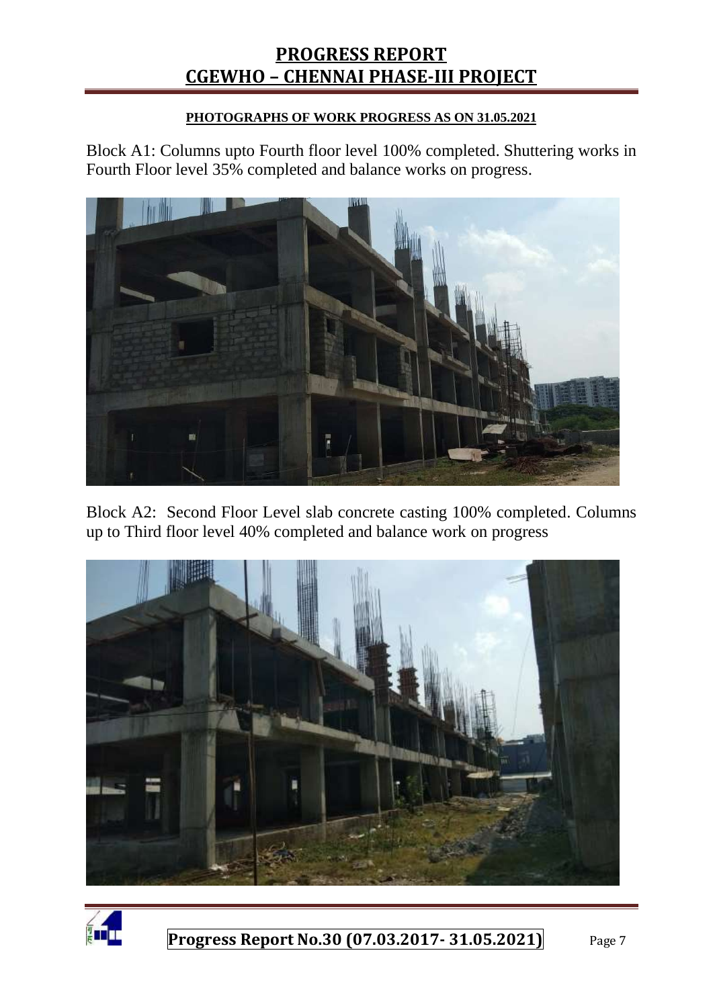#### **PHOTOGRAPHS OF WORK PROGRESS AS ON 31.05.2021**

Block A1: Columns upto Fourth floor level 100% completed. Shuttering works in Fourth Floor level 35% completed and balance works on progress.



Block A2: Second Floor Level slab concrete casting 100% completed. Columns up to Third floor level 40% completed and balance work on progress



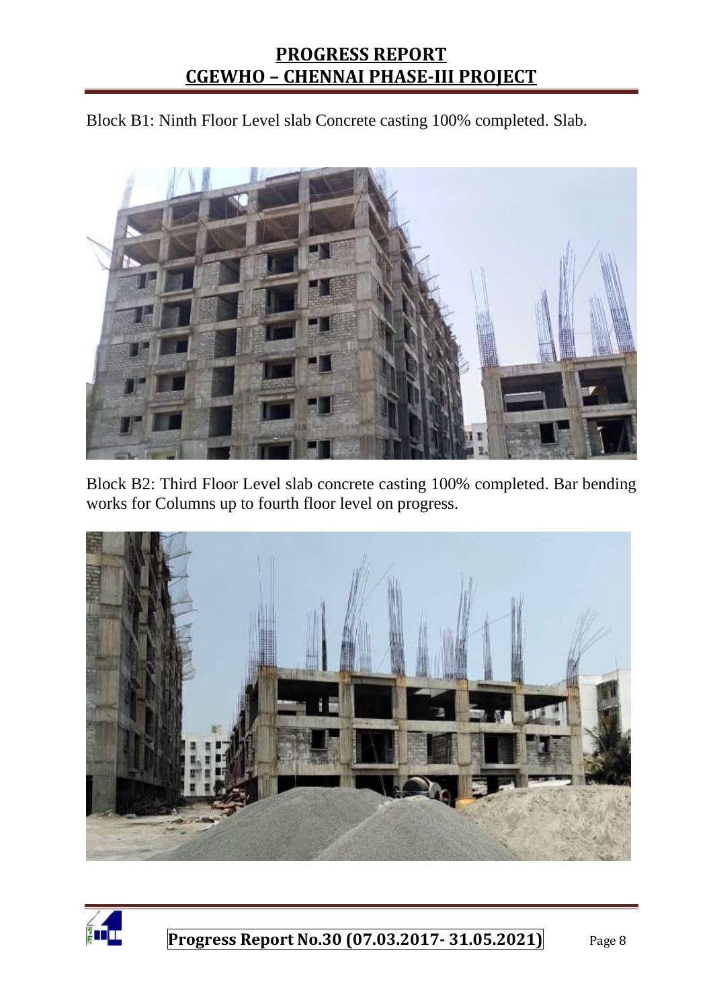Block B1: Ninth Floor Level slab Concrete casting 100% completed. Slab.



Block B2: Third Floor Level slab concrete casting 100% completed. Bar bending works for Columns up to fourth floor level on progress.



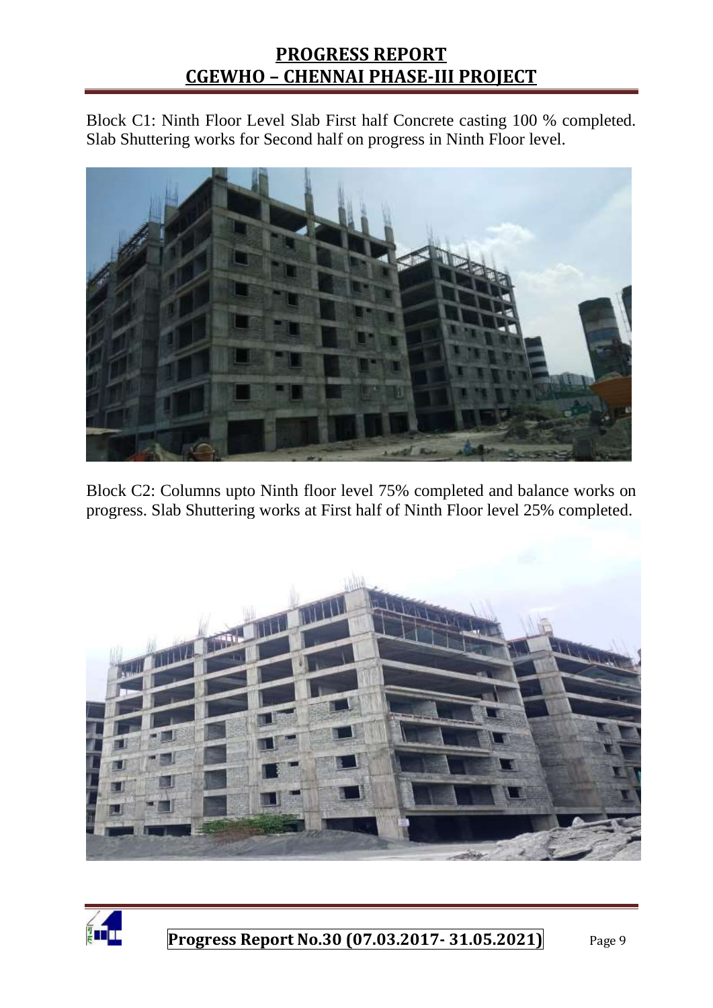Block C1: Ninth Floor Level Slab First half Concrete casting 100 % completed. Slab Shuttering works for Second half on progress in Ninth Floor level.



Block C2: Columns upto Ninth floor level 75% completed and balance works on progress. Slab Shuttering works at First half of Ninth Floor level 25% completed.



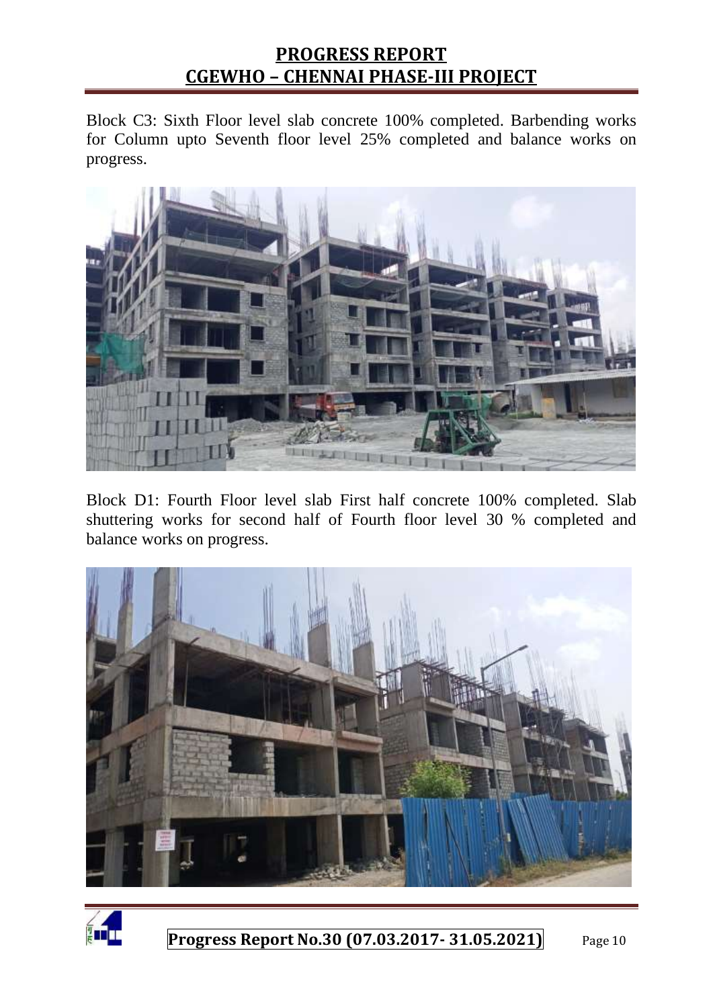Block C3: Sixth Floor level slab concrete 100% completed. Barbending works for Column upto Seventh floor level 25% completed and balance works on progress.



Block D1: Fourth Floor level slab First half concrete 100% completed. Slab shuttering works for second half of Fourth floor level 30 % completed and balance works on progress.



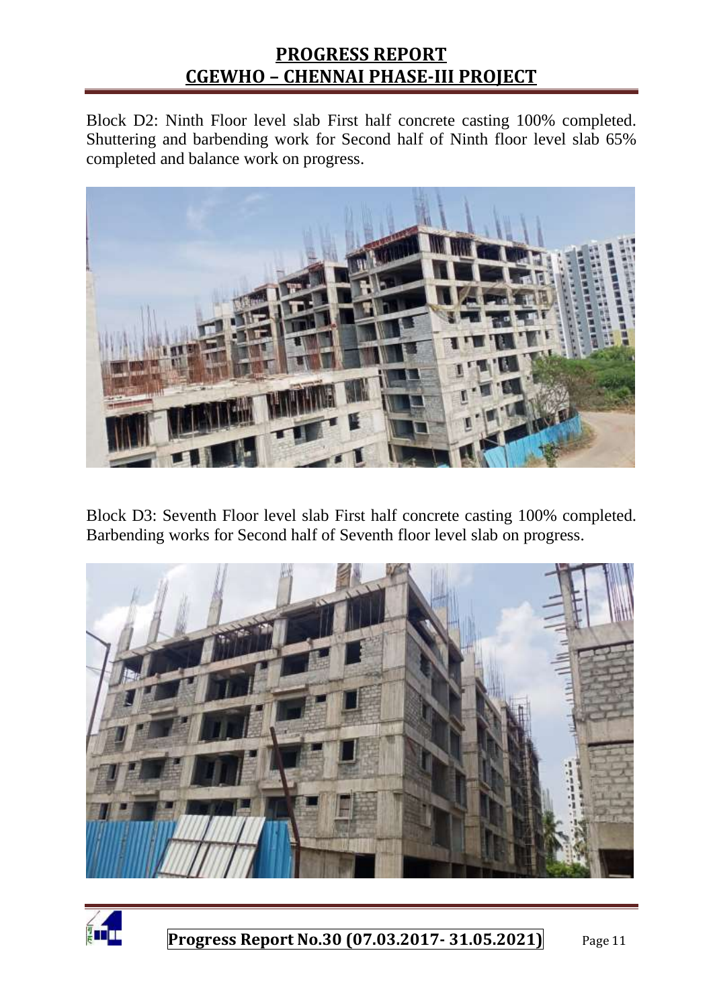Block D2: Ninth Floor level slab First half concrete casting 100% completed. Shuttering and barbending work for Second half of Ninth floor level slab 65% completed and balance work on progress.



Block D3: Seventh Floor level slab First half concrete casting 100% completed. Barbending works for Second half of Seventh floor level slab on progress.



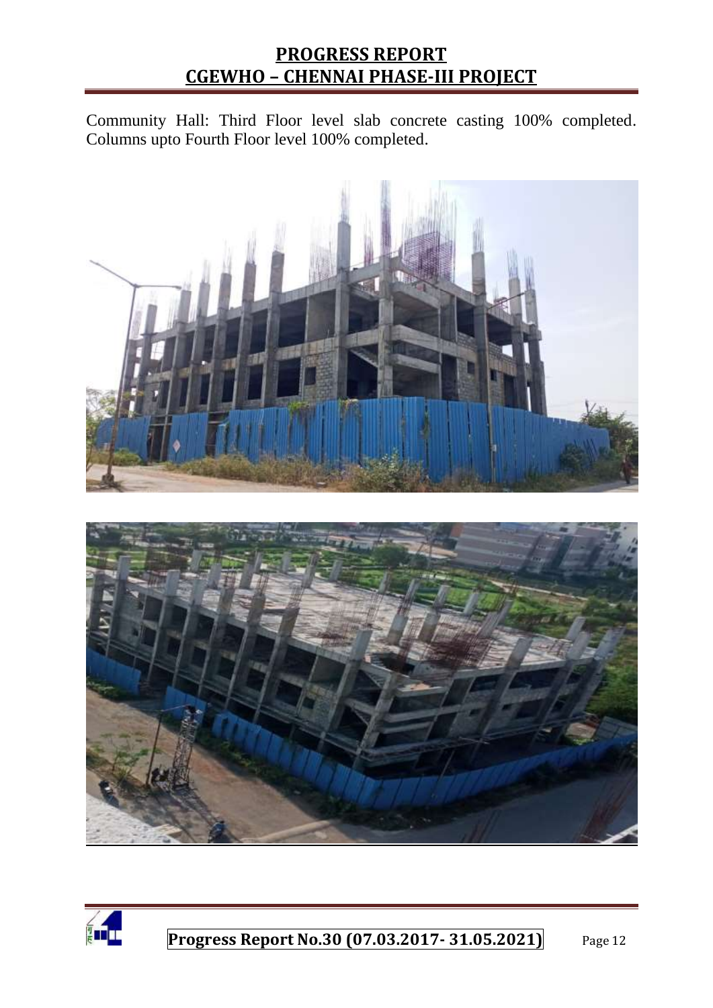Community Hall: Third Floor level slab concrete casting 100% completed. Columns upto Fourth Floor level 100% completed.





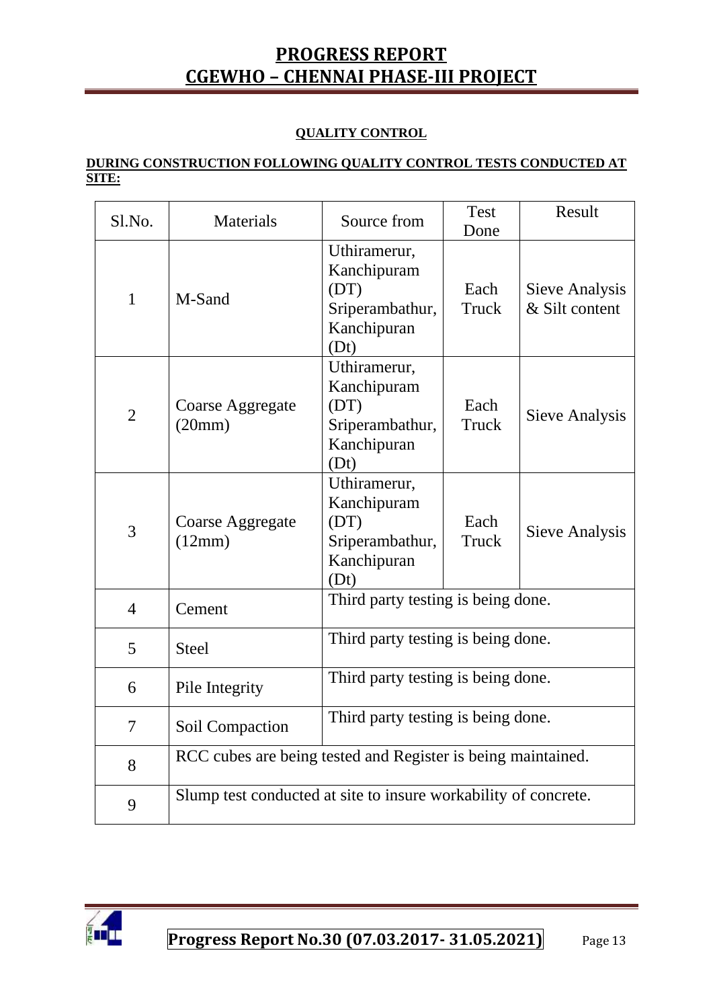#### **QUALITY CONTROL**

#### **DURING CONSTRUCTION FOLLOWING QUALITY CONTROL TESTS CONDUCTED AT SITE:**

| $S1$ . No.     | <b>Materials</b>                                                | Source from                                                                   | <b>Test</b><br>Done | Result                           |
|----------------|-----------------------------------------------------------------|-------------------------------------------------------------------------------|---------------------|----------------------------------|
| $\mathbf{1}$   | M-Sand                                                          | Uthiramerur,<br>Kanchipuram<br>(DT)<br>Sriperambathur,<br>Kanchipuran<br>(Dt) | Each<br>Truck       | Sieve Analysis<br>& Silt content |
| $\overline{2}$ | Coarse Aggregate<br>(20mm)                                      | Uthiramerur,<br>Kanchipuram<br>(DT)<br>Sriperambathur,<br>Kanchipuran<br>(Dt) | Each<br>Truck       | Sieve Analysis                   |
| 3              | Coarse Aggregate<br>(12mm)                                      | Uthiramerur,<br>Kanchipuram<br>(DT)<br>Sriperambathur,<br>Kanchipuran<br>(Dt) | Each<br>Truck       | Sieve Analysis                   |
| $\overline{4}$ | Cement                                                          | Third party testing is being done.                                            |                     |                                  |
| 5              | <b>Steel</b>                                                    | Third party testing is being done.                                            |                     |                                  |
| 6              | Pile Integrity                                                  | Third party testing is being done.                                            |                     |                                  |
| $\tau$         | Soil Compaction                                                 | Third party testing is being done.                                            |                     |                                  |
| 8              | RCC cubes are being tested and Register is being maintained.    |                                                                               |                     |                                  |
| 9              | Slump test conducted at site to insure workability of concrete. |                                                                               |                     |                                  |

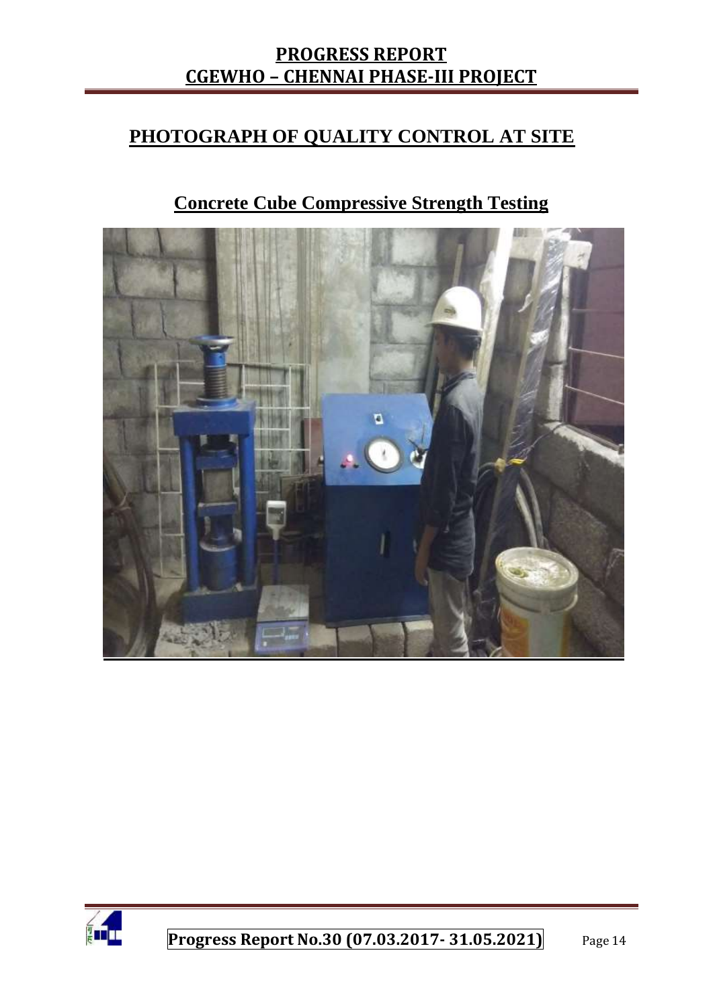#### **PHOTOGRAPH OF QUALITY CONTROL AT SITE**

### **Concrete Cube Compressive Strength Testing**



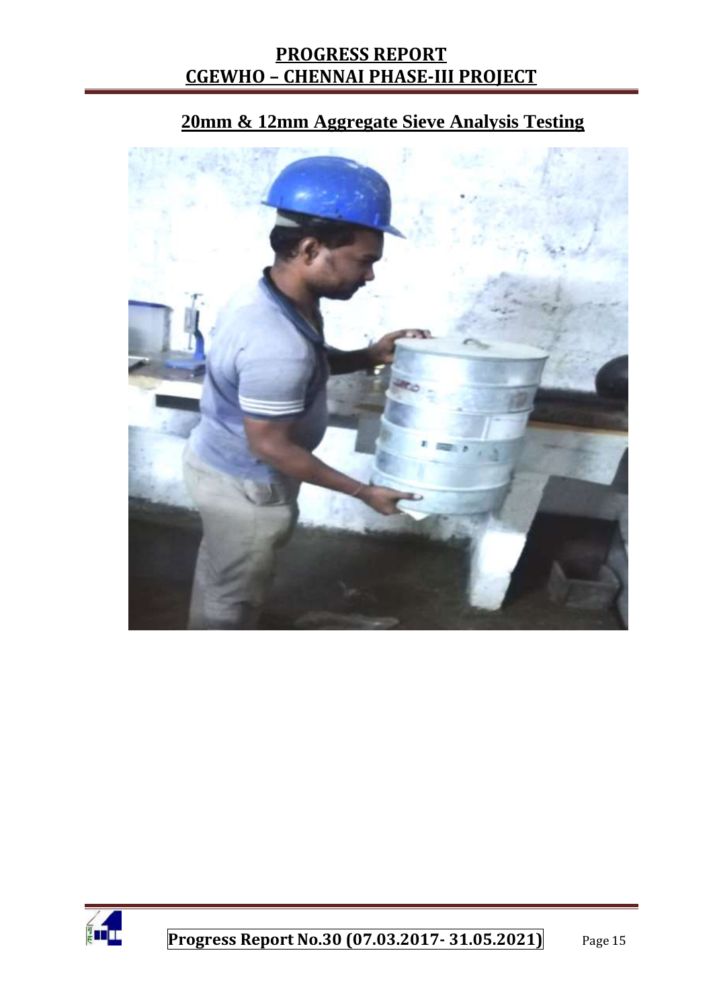# **20mm & 12mm Aggregate Sieve Analysis Testing**